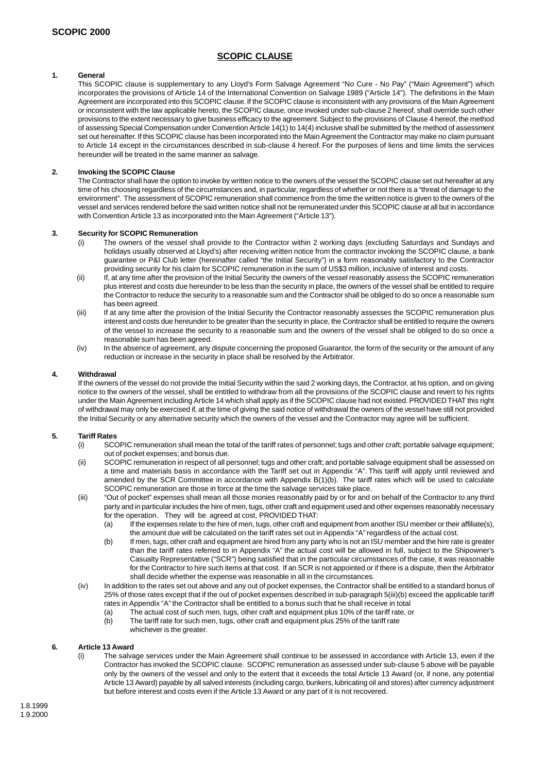# **SCOPIC CLAUSE**

# **1. General**

This SCOPIC clause is supplementary to any Lloyd's Form Salvage Agreement "No Cure - No Pay" ("Main Agreement") which incorporates the provisions of Article 14 of the International Convention on Salvage 1989 ("Article 14"). The definitions in the Main Agreement are incorporated into this SCOPIC clause. If the SCOPIC clause is inconsistent with any provisions of the Main Agreement or inconsistent with the law applicable hereto, the SCOPIC clause, once invoked under sub-clause 2 hereof, shall override such other provisions to the extent necessary to give business efficacy to the agreement. Subject to the provisions of Clause 4 hereof, the method of assessing Special Compensation under Convention Article 14(1) to 14(4) inclusive shall be submitted by the method of assessment set out hereinafter. If this SCOPIC clause has been incorporated into the Main Agreement the Contractor may make no claim pursuant to Article 14 except in the circumstances described in sub-clause 4 hereof. For the purposes of liens and time limits the services hereunder will be treated in the same manner as salvage.

## **2. Invoking the SCOPIC Clause**

The Contractor shall have the option to invoke by written notice to the owners of the vessel the SCOPIC clause set out hereafter at any time of his choosing regardless of the circumstances and, in particular, regardless of whether or not there is a "threat of damage to the environment". The assessment of SCOPIC remuneration shall commence from the time the written notice is given to the owners of the vessel and services rendered before the said written notice shall not be remunerated under this SCOPIC clause at all but in accordance with Convention Article 13 as incorporated into the Main Agreement ("Article 13").

### **3. Security for SCOPIC Remuneration**

- (i) The owners of the vessel shall provide to the Contractor within 2 working days (excluding Saturdays and Sundays and holidays usually observed at Lloyd's) after receiving written notice from the contractor invoking the SCOPIC clause, a bank guarantee or P&I Club letter (hereinafter called "the Initial Security") in a form reasonably satisfactory to the Contractor providing security for his claim for SCOPIC remuneration in the sum of US\$3 million, inclusive of interest and costs.
- (ii) If, at any time after the provision of the Initial Security the owners of the vessel reasonably assess the SCOPIC remuneration plus interest and costs due hereunder to be less than the security in place, the owners of the vessel shall be entitled to require the Contractor to reduce the security to a reasonable sum and the Contractor shall be obliged to do so once a reasonable sum has been agreed.
- (iii) If at any time after the provision of the Initial Security the Contractor reasonably assesses the SCOPIC remuneration plus interest and costs due hereunder to be greater than the security in place, the Contractor shall be entitled to require the owners of the vessel to increase the security to a reasonable sum and the owners of the vessel shall be obliged to do so once a reasonable sum has been agreed.
- (iv) In the absence of agreement, any dispute concerning the proposed Guarantor, the form of the security or the amount of any reduction or increase in the security in place shall be resolved by the Arbitrator.

## **4. Withdrawal**

If the owners of the vessel do not provide the Initial Security within the said 2 working days, the Contractor, at his option, and on giving notice to the owners of the vessel, shall be entitled to withdraw from all the provisions of the SCOPIC clause and revert to his rights under the Main Agreement including Article 14 which shall apply as if the SCOPIC clause had not existed. PROVIDED THAT this right of withdrawal may only be exercised if, at the time of giving the said notice of withdrawal the owners of the vessel have still not provided the Initial Security or any alternative security which the owners of the vessel and the Contractor may agree will be sufficient.

# **5. Tariff Rates**

- (i) SCOPIC remuneration shall mean the total of the tariff rates of personnel; tugs and other craft; portable salvage equipment; out of pocket expenses; and bonus due.
- (ii) SCOPIC remuneration in respect of all personnel; tugs and other craft; and portable salvage equipment shall be assessed on a time and materials basis in accordance with the Tariff set out in Appendix "A". This tariff will apply until reviewed and amended by the SCR Committee in accordance with Appendix B(1)(b). The tariff rates which will be used to calculate SCOPIC remuneration are those in force at the time the salvage services take place.
- (iii) "Out of pocket" expenses shall mean all those monies reasonably paid by or for and on behalf of the Contractor to any third party and in particular includes the hire of men, tugs, other craft and equipment used and other expenses reasonably necessary for the operation. They will be agreed at cost, PROVIDED THAT:
	- (a) If the expenses relate to the hire of men, tugs, other craft and equipment from another ISU member or their affiliate(s), the amount due will be calculated on the tariff rates set out in Appendix "A" regardless of the actual cost.
	- (b) If men, tugs, other craft and equipment are hired from any party who is not an ISU member and the hire rate is greater than the tariff rates referred to in Appendix "A" the actual cost will be allowed in full, subject to the Shipowner's Casualty Representative ("SCR") being satisfied that in the particular circumstances of the case, it was reasonable for the Contractor to hire such items at that cost. If an SCR is not appointed or if there is a dispute, then the Arbitrator shall decide whether the expense was reasonable in all in the circumstances.
- (iv) In addition to the rates set out above and any out of pocket expenses, the Contractor shall be entitled to a standard bonus of 25% of those rates except that if the out of pocket expenses described in sub-paragraph 5(iii)(b) exceed the applicable tariff rates in Appendix "A" the Contractor shall be entitled to a bonus such that he shall receive in total
	- (a) The actual cost of such men, tugs, other craft and equipment plus 10% of the tariff rate, or<br>(b) The tariff rate for such men, tugs, other craft and equipment plus 25% of the tariff rate
	- The tariff rate for such men, tugs, other craft and equipment plus 25% of the tariff rate whichever is the greater.

#### **6. Article 13 Award**

The salvage services under the Main Agreement shall continue to be assessed in accordance with Article 13, even if the Contractor has invoked the SCOPIC clause. SCOPIC remuneration as assessed under sub-clause 5 above will be payable only by the owners of the vessel and only to the extent that it exceeds the total Article 13 Award (or, if none, any potential Article 13 Award) payable by all salved interests (including cargo, bunkers, lubricating oil and stores) after currency adjustment but before interest and costs even if the Article 13 Award or any part of it is not recovered.